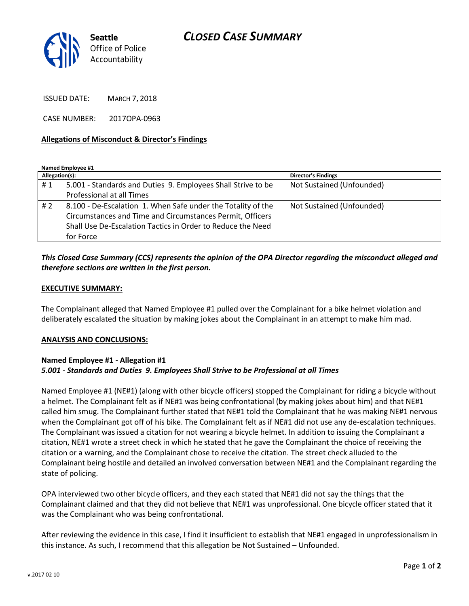

ISSUED DATE: MARCH 7, 2018

CASE NUMBER: 2017OPA-0963

#### **Allegations of Misconduct & Director's Findings**

**Named Employee #1**

| Allegation(s): |                                                              | <b>Director's Findings</b> |
|----------------|--------------------------------------------------------------|----------------------------|
| #1             | 5.001 - Standards and Duties 9. Employees Shall Strive to be | Not Sustained (Unfounded)  |
|                | Professional at all Times                                    |                            |
| #2             | 8.100 - De-Escalation 1. When Safe under the Totality of the | Not Sustained (Unfounded)  |
|                | Circumstances and Time and Circumstances Permit, Officers    |                            |
|                | Shall Use De-Escalation Tactics in Order to Reduce the Need  |                            |
|                | for Force                                                    |                            |

## *This Closed Case Summary (CCS) represents the opinion of the OPA Director regarding the misconduct alleged and therefore sections are written in the first person.*

#### **EXECUTIVE SUMMARY:**

The Complainant alleged that Named Employee #1 pulled over the Complainant for a bike helmet violation and deliberately escalated the situation by making jokes about the Complainant in an attempt to make him mad.

#### **ANALYSIS AND CONCLUSIONS:**

### **Named Employee #1 - Allegation #1** *5.001 - Standards and Duties 9. Employees Shall Strive to be Professional at all Times*

Named Employee #1 (NE#1) (along with other bicycle officers) stopped the Complainant for riding a bicycle without a helmet. The Complainant felt as if NE#1 was being confrontational (by making jokes about him) and that NE#1 called him smug. The Complainant further stated that NE#1 told the Complainant that he was making NE#1 nervous when the Complainant got off of his bike. The Complainant felt as if NE#1 did not use any de-escalation techniques. The Complainant was issued a citation for not wearing a bicycle helmet. In addition to issuing the Complainant a citation, NE#1 wrote a street check in which he stated that he gave the Complainant the choice of receiving the citation or a warning, and the Complainant chose to receive the citation. The street check alluded to the Complainant being hostile and detailed an involved conversation between NE#1 and the Complainant regarding the state of policing.

OPA interviewed two other bicycle officers, and they each stated that NE#1 did not say the things that the Complainant claimed and that they did not believe that NE#1 was unprofessional. One bicycle officer stated that it was the Complainant who was being confrontational.

After reviewing the evidence in this case, I find it insufficient to establish that NE#1 engaged in unprofessionalism in this instance. As such, I recommend that this allegation be Not Sustained – Unfounded.